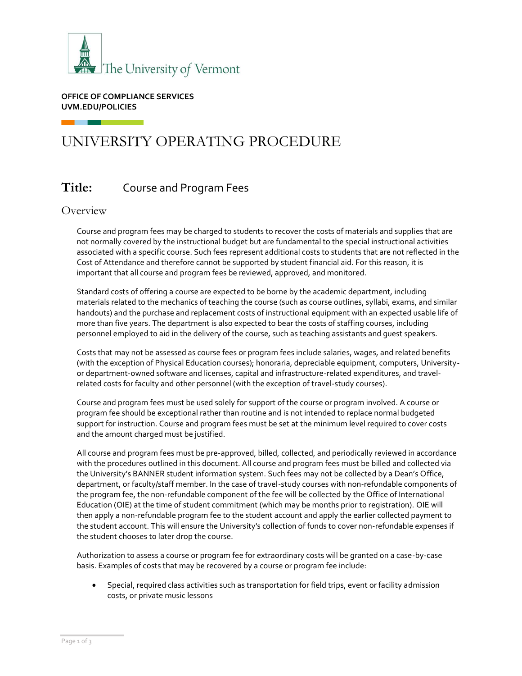

**OFFICE OF COMPLIANCE SERVICES UVM.EDU/POLICIES**

# UNIVERSITY OPERATING PROCEDURE

## **Title:** Course and Program Fees

## **Overview**

Course and program fees may be charged to students to recover the costs of materials and supplies that are not normally covered by the instructional budget but are fundamental to the special instructional activities associated with a specific course. Such fees represent additional costs to students that are not reflected in the Cost of Attendance and therefore cannot be supported by student financial aid. For this reason, it is important that all course and program fees be reviewed, approved, and monitored.

Standard costs of offering a course are expected to be borne by the academic department, including materials related to the mechanics of teaching the course (such as course outlines, syllabi, exams, and similar handouts) and the purchase and replacement costs of instructional equipment with an expected usable life of more than five years. The department is also expected to bear the costs of staffing courses, including personnel employed to aid in the delivery of the course, such as teaching assistants and guest speakers.

Costs that may not be assessed as course fees or program fees include salaries, wages, and related benefits (with the exception of Physical Education courses); honoraria, depreciable equipment, computers, Universityor department-owned software and licenses, capital and infrastructure-related expenditures, and travelrelated costs for faculty and other personnel (with the exception of travel-study courses).

Course and program fees must be used solely for support of the course or program involved. A course or program fee should be exceptional rather than routine and is not intended to replace normal budgeted support for instruction. Course and program fees must be set at the minimum level required to cover costs and the amount charged must be justified.

All course and program fees must be pre-approved, billed, collected, and periodically reviewed in accordance with the procedures outlined in this document. All course and program fees must be billed and collected via the University's BANNER student information system. Such fees may not be collected by a Dean's Office, department, or faculty/staff member. In the case of travel-study courses with non-refundable components of the program fee, the non-refundable component of the fee will be collected by the Office of International Education (OIE) at the time of student commitment (which may be months prior to registration). OIE will then apply a non-refundable program fee to the student account and apply the earlier collected payment to the student account. This will ensure the University's collection of funds to cover non-refundable expenses if the student chooses to later drop the course.

Authorization to assess a course or program fee for extraordinary costs will be granted on a case-by-case basis. Examples of costs that may be recovered by a course or program fee include:

• Special, required class activities such as transportation for field trips, event or facility admission costs, or private music lessons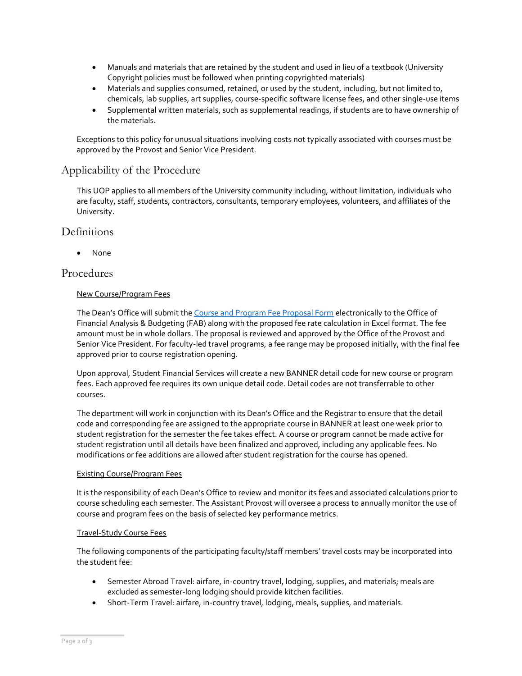- Manuals and materials that are retained by the student and used in lieu of a textbook (University Copyright policies must be followed when printing copyrighted materials)
- Materials and supplies consumed, retained, or used by the student, including, but not limited to, chemicals, lab supplies, art supplies, course-specific software license fees, and other single-use items
- Supplemental written materials, such as supplemental readings, if students are to have ownership of the materials.

Exceptions to this policy for unusual situations involving costs not typically associated with courses must be approved by the Provost and Senior Vice President.

## Applicability of the Procedure

This UOP applies to all members of the University community including, without limitation, individuals who are faculty, staff, students, contractors, consultants, temporary employees, volunteers, and affiliates of the University.

## **Definitions**

• None

## Procedures

#### New Course/Program Fees

The Dean's Office will submit the [Course and Program Fee Proposal Form](https://www.uvm.edu/sites/default/files/Division-of-Finance/Forms/Course_Fee_Proposal_form.docx) electronically to the Office of Financial Analysis & Budgeting (FAB) along with the proposed fee rate calculation in Excel format. The fee amount must be in whole dollars. The proposal is reviewed and approved by the Office of the Provost and Senior Vice President. For faculty-led travel programs, a fee range may be proposed initially, with the final fee approved prior to course registration opening.

Upon approval, Student Financial Services will create a new BANNER detail code for new course or program fees. Each approved fee requires its own unique detail code. Detail codes are not transferrable to other courses.

The department will work in conjunction with its Dean's Office and the Registrar to ensure that the detail code and corresponding fee are assigned to the appropriate course in BANNER at least one week prior to student registration for the semester the fee takes effect. A course or program cannot be made active for student registration until all details have been finalized and approved, including any applicable fees. No modifications or fee additions are allowed after student registration for the course has opened.

#### Existing Course/Program Fees

It is the responsibility of each Dean's Office to review and monitor its fees and associated calculations prior to course scheduling each semester. The Assistant Provost will oversee a process to annually monitor the use of course and program fees on the basis of selected key performance metrics.

#### Travel-Study Course Fees

The following components of the participating faculty/staff members' travel costs may be incorporated into the student fee:

- Semester Abroad Travel: airfare, in-country travel, lodging, supplies, and materials; meals are excluded as semester-long lodging should provide kitchen facilities.
- Short-Term Travel: airfare, in-country travel, lodging, meals, supplies, and materials.